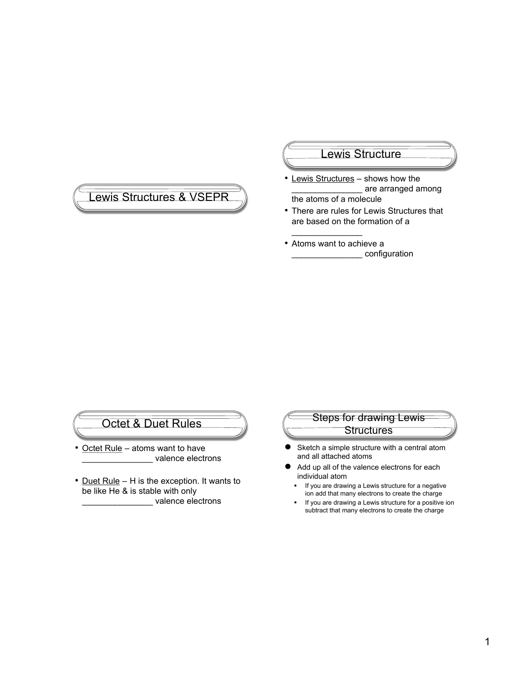## Lewis Structures & VSEPR

#### Lewis Structure

- Lewis Structures shows how the are arranged among the atoms of a molecule
- There are rules for Lewis Structures that are based on the formation of a
- Atoms want to achieve a \_\_\_\_\_\_\_\_\_\_\_\_\_\_\_ configuration

 $\frac{1}{2}$  ,  $\frac{1}{2}$  ,  $\frac{1}{2}$  ,  $\frac{1}{2}$  ,  $\frac{1}{2}$  ,  $\frac{1}{2}$  ,  $\frac{1}{2}$  ,  $\frac{1}{2}$  ,  $\frac{1}{2}$ 

## Octet & Duet Rules

- Octet Rule atoms want to have \_\_\_\_\_\_\_\_\_\_\_\_\_\_\_ valence electrons
- Duet Rule H is the exception. It wants to be like He & is stable with only \_\_\_\_\_\_\_\_\_\_\_\_\_\_\_ valence electrons

# Steps for drawing Lewis **Structures**

- Sketch a simple structure with a central atom and all attached atoms
- Add up all of the valence electrons for each individual atom
- **If you are drawing a Lewis structure for a negative** ion add that many electrons to create the charge
- **If you are drawing a Lewis structure for a positive ion** subtract that many electrons to create the charge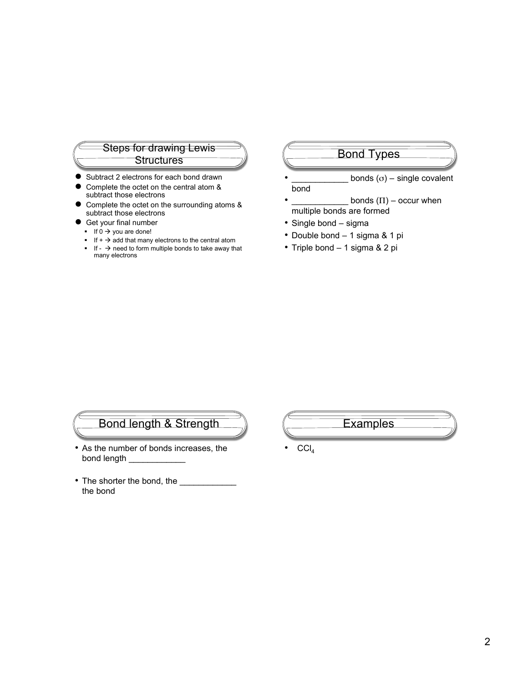#### Steps for drawing Lewis or urawing Lewis (Changel Bond Types

- Subtract 2 electrons for each bond drawn
- Complete the octet on the central atom & subtract those electrons
- Complete the octet on the surrounding atoms & subtract those electrons
- Get your final number
	- If  $0 \rightarrow$  you are done!
	- If  $+$   $\rightarrow$  add that many electrons to the central atom
	- If  $\rightarrow$  need to form multiple bonds to take away that many electrons

- $bonds (σ) single covalent$ bond
- bonds  $(\Pi)$  occur when multiple bonds are formed
- Single bond sigma
- Double bond 1 sigma & 1 pi
- Triple bond 1 sigma & 2 pi

## Bond length & Strength

- As the number of bonds increases, the bond length \_
- The shorter the bond, the \_ the bond



 $|CCI<sub>4</sub>|$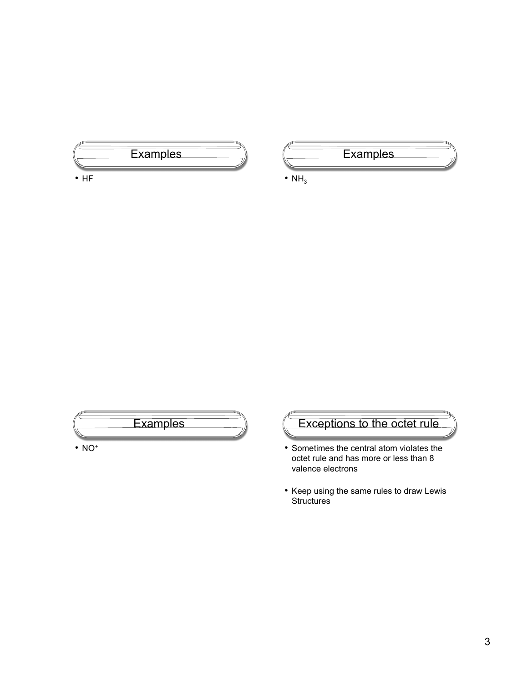

• HF



•  $NH<sub>3</sub>$ 



# Exceptions to the octet rule

- Sometimes the central atom violates the octet rule and has more or less than 8 valence electrons
- Keep using the same rules to draw Lewis **Structures**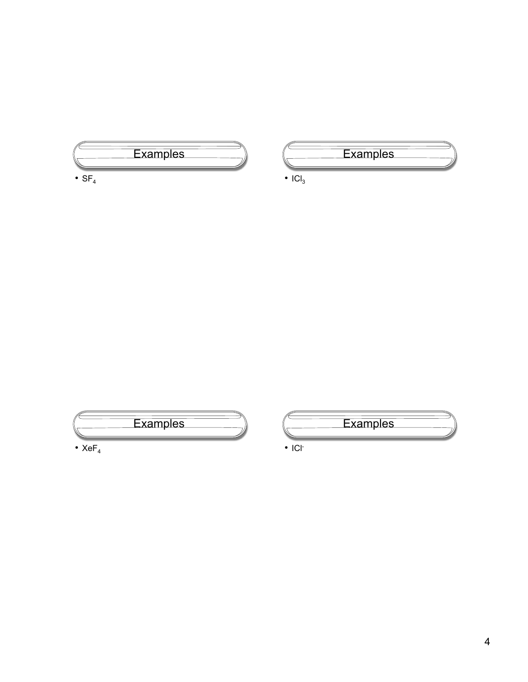

•  $SF<sub>4</sub>$ 



•  $|Cl_3$ 





• ICl-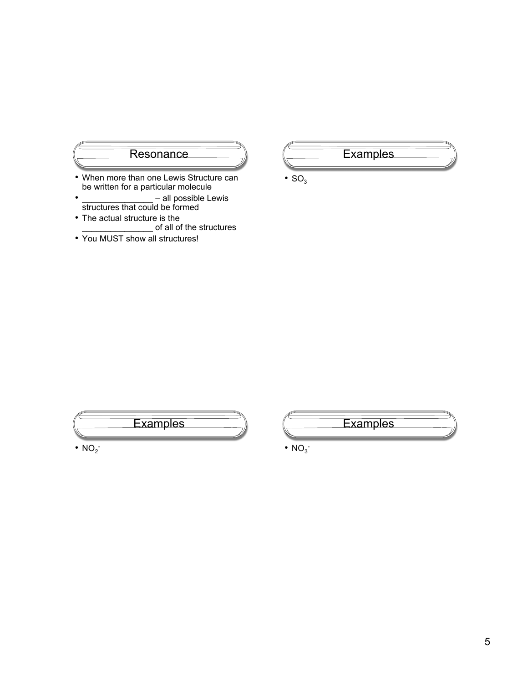

- When more than one Lewis Structure can be written for a particular molecule
- \_\_\_\_\_\_\_\_\_\_\_\_\_\_\_\_\_\_\_ all possible Lewis structures that could be formed
- The actual structure is the \_\_\_\_\_\_\_\_\_\_\_\_\_\_\_ of all of the structures
- You MUST show all structures!



•  $SO<sub>3</sub>$ 





 $\cdot$  NO<sub>3</sub>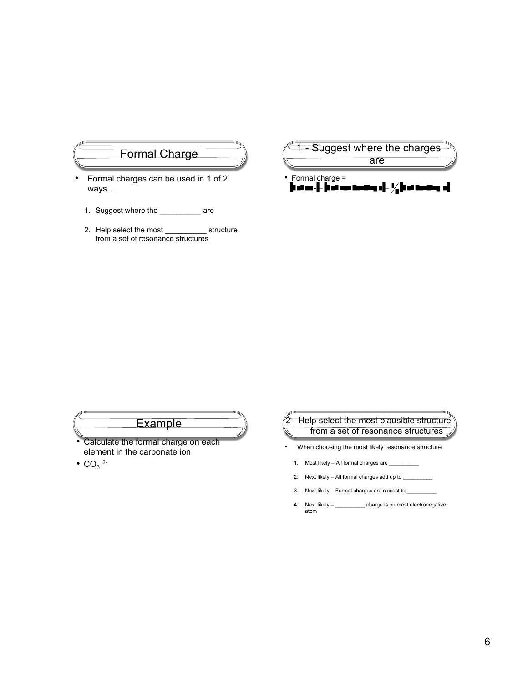#### Formal Charge

- Formal charges can be used in 1 of 2 ways…
	- 1. Suggest where the \_\_\_\_\_\_\_\_\_\_\_ are
	- 2. Help select the most \_\_\_\_\_\_\_\_\_\_ structure from a set of resonance structures



## **Example**

- Calculate the formal charge on each element in the carbonate ion
- $CO_3$  <sup>2-</sup>



- When choosing the most likely resonance structure
- 1. Most likely All formal charges are  $\_$
- 2. Next likely All formal charges add up to  $\_$
- 3. Next likely Formal charges are closest to \_\_\_\_\_\_\_\_\_\_\_\_\_\_\_\_\_\_\_\_\_\_\_\_\_\_\_\_\_\_\_\_\_
- 4. Next likely \_\_\_\_\_\_\_\_\_\_\_\_ charge is on most electronegative atom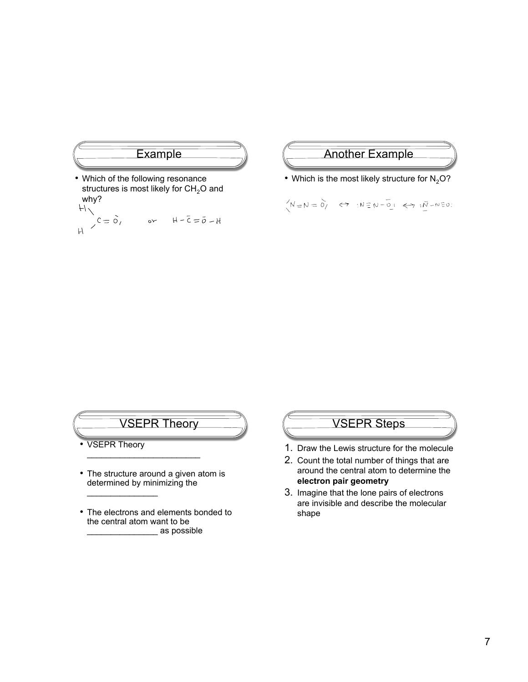

• Which of the following resonance structures is most likely for  $CH<sub>2</sub>O$  and why?

$$
\begin{array}{c}\n\vdots \\
\downarrow \\
\downarrow\n\end{array}
$$
\n
$$
C = \tilde{O}, \qquad or \qquad \mu - \tilde{C} = \tilde{O} - \mu
$$

## **Another Example**

• Which is the most likely structure for  $N_2O$ ?

 $\left\langle N=N=\stackrel{\frown}{O_1}\quad\Longleftrightarrow\quad :N\equiv N-\stackrel{\frown}{O_1}\quad\Longleftrightarrow\quad N\stackrel{\frown}{O}\rightarrow N\equiv 0\,.$ 

## VSEPR Theory

- VSEPR Theory
- The structure around a given atom is determined by minimizing the  $\frac{1}{2}$  ,  $\frac{1}{2}$  ,  $\frac{1}{2}$  ,  $\frac{1}{2}$  ,  $\frac{1}{2}$  ,  $\frac{1}{2}$  ,  $\frac{1}{2}$  ,  $\frac{1}{2}$

 $\overline{\phantom{a}}$  , which is a set of the set of the set of the set of the set of the set of the set of the set of the set of the set of the set of the set of the set of the set of the set of the set of the set of the set of th

• The electrons and elements bonded to the central atom want to be \_\_\_\_\_\_\_\_\_\_\_\_\_\_\_ as possible

## VSEPR Steps

- 1. Draw the Lewis structure for the molecule
- 2. Count the total number of things that are around the central atom to determine the **electron pair geometry**
- 3. Imagine that the lone pairs of electrons are invisible and describe the molecular shape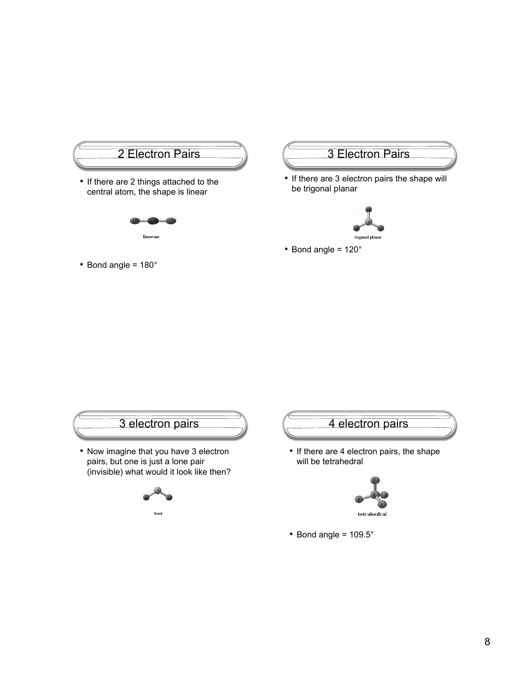

• Bond angle = 180°

## 3 Electron Pairs

• If there are 3 electron pairs the shape will be trigonal planar



• Bond angle = 120°



• Bond angle = 109.5°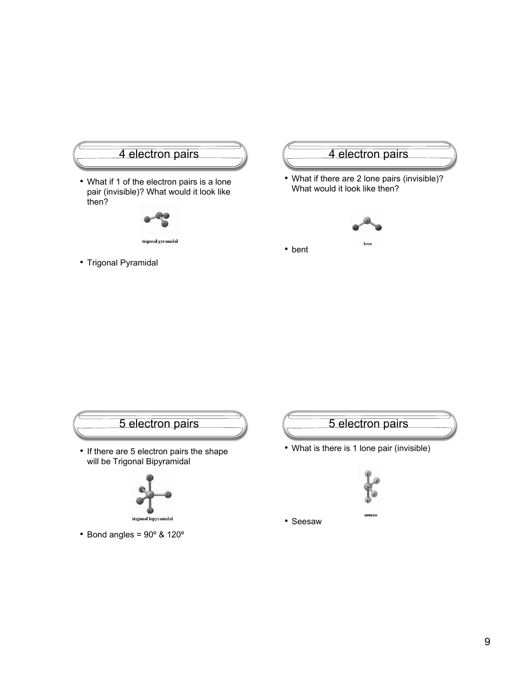

• Trigonal Pyramidal

## 4 electron pairs

• What if there are 2 lone pairs (invisible)? What would it look like then?



• bent



trigonal bipyra údal

• Bond angles = 90º & 120º



• What is there is 1 lone pair (invisible)



• Seesaw